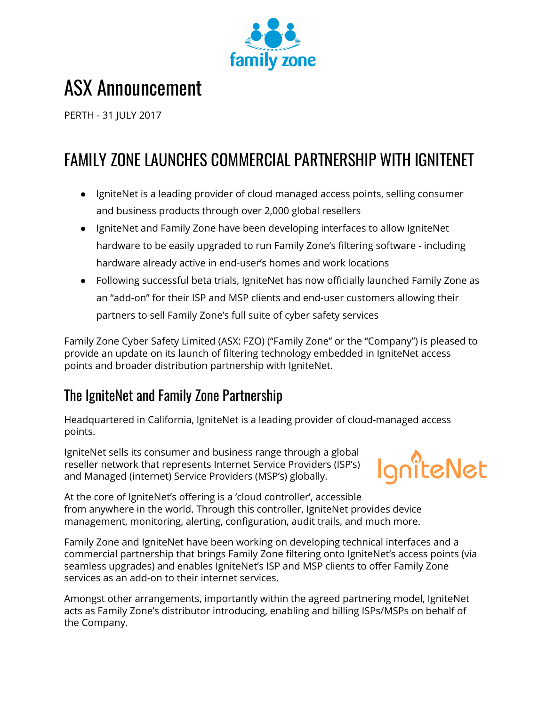

# ASX Announcement

PERTH - 31 JULY 2017

# FAMILY ZONE LAUNCHES COMMERCIAL PARTNERSHIP WITH IGNITENET

- IgniteNet is a leading provider of cloud managed access points, selling consumer and business products through over 2,000 global resellers
- IgniteNet and Family Zone have been developing interfaces to allow IgniteNet hardware to be easily upgraded to run Family Zone's filtering software - including hardware already active in end-user's homes and work locations
- Following successful beta trials, IgniteNet has now officially launched Family Zone as an "add-on" for their ISP and MSP clients and end-user customers allowing their partners to sell Family Zone's full suite of cyber safety services

Family Zone Cyber Safety Limited (ASX: FZO) ("Family Zone" or the "Company") is pleased to provide an update on its launch of filtering technology embedded in IgniteNet access points and broader distribution partnership with IgniteNet.

# The IgniteNet and Family Zone Partnership

Headquartered in California, IgniteNet is a leading provider of cloud-managed access points.

IgniteNet sells its consumer and business range through a global reseller network that represents Internet Service Providers (ISP's) and Managed (internet) Service Providers (MSP's) globally.



At the core of IgniteNet's offering is a 'cloud controller', accessible from anywhere in the world. Through this controller, IgniteNet provides device management, monitoring, alerting, configuration, audit trails, and much more.

Family Zone and IgniteNet have been working on developing technical interfaces and a commercial partnership that brings Family Zone filtering onto IgniteNet's access points (via seamless upgrades) and enables IgniteNet's ISP and MSP clients to offer Family Zone services as an add-on to their internet services.

Amongst other arrangements, importantly within the agreed partnering model, IgniteNet acts as Family Zone's distributor introducing, enabling and billing ISPs/MSPs on behalf of the Company.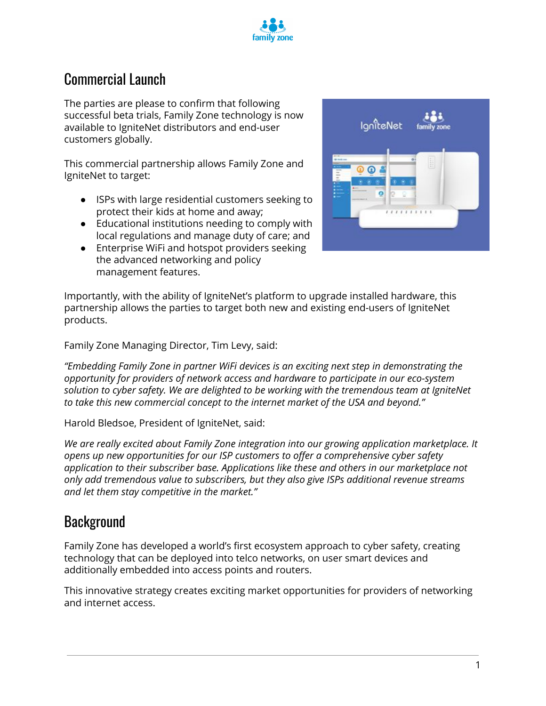

## Commercial Launch

The parties are please to confirm that following successful beta trials, Family Zone technology is now available to IgniteNet distributors and end-user customers globally.

This commercial partnership allows Family Zone and IgniteNet to target:

- ISPs with large residential customers seeking to protect their kids at home and away;
- Educational institutions needing to comply with local regulations and manage duty of care; and
- Enterprise WiFi and hotspot providers seeking the advanced networking and policy management features.



Importantly, with the ability of IgniteNet's platform to upgrade installed hardware, this partnership allows the parties to target both new and existing end-users of IgniteNet products.

Family Zone Managing Director, Tim Levy, said:

*"Embedding Family Zone in partner WiFi devices is an exciting next step in demonstrating the opportunity for providers of network access and hardware to participate in our eco-system solution to cyber safety. We are delighted to be working with the tremendous team at IgniteNet to take this new commercial concept to the internet market of the USA and beyond."*

Harold Bledsoe, President of IgniteNet, said:

*We are really excited about Family Zone integration into our growing application marketplace. It opens up new opportunities for our ISP customers to offer a comprehensive cyber safety application to their subscriber base. Applications like these and others in our marketplace not only add tremendous value to subscribers, but they also give ISPs additional revenue streams and let them stay competitive in the market."*

### **Background**

Family Zone has developed a world's first ecosystem approach to cyber safety, creating technology that can be deployed into telco networks, on user smart devices and additionally embedded into access points and routers.

This innovative strategy creates exciting market opportunities for providers of networking and internet access.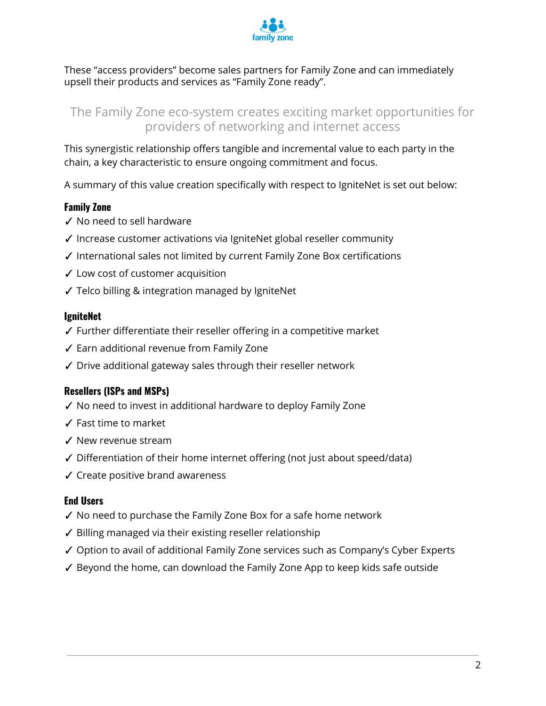

These "access providers" become sales partners for Family Zone and can immediately upsell their products and services as "Family Zone ready".

### The Family Zone eco-system creates exciting market opportunities for providers of networking and internet access

This synergistic relationship offers tangible and incremental value to each party in the chain, a key characteristic to ensure ongoing commitment and focus.

A summary of this value creation specifically with respect to IgniteNet is set out below:

#### **Family Zone**

- ✓ No need to sell hardware
- ✓ Increase customer activations via IgniteNet global reseller community
- ✓ International sales not limited by current Family Zone Box certifications
- ✓ Low cost of customer acquisition
- ✓ Telco billing & integration managed by IgniteNet

#### **IgniteNet**

- ✓ Further differentiate their reseller offering in a competitive market
- ✓ Earn additional revenue from Family Zone
- ✓ Drive additional gateway sales through their reseller network

#### **Resellers (ISPs and MSPs)**

- ✓ No need to invest in additional hardware to deploy Family Zone
- ✓ Fast time to market
- ✓ New revenue stream
- ✓ Differentiation of their home internet offering (not just about speed/data)
- ✓ Create positive brand awareness

#### **End Users**

- ✓ No need to purchase the Family Zone Box for a safe home network
- ✓ Billing managed via their existing reseller relationship
- ✓ Option to avail of additional Family Zone services such as Company's Cyber Experts
- $\checkmark$  Beyond the home, can download the Family Zone App to keep kids safe outside